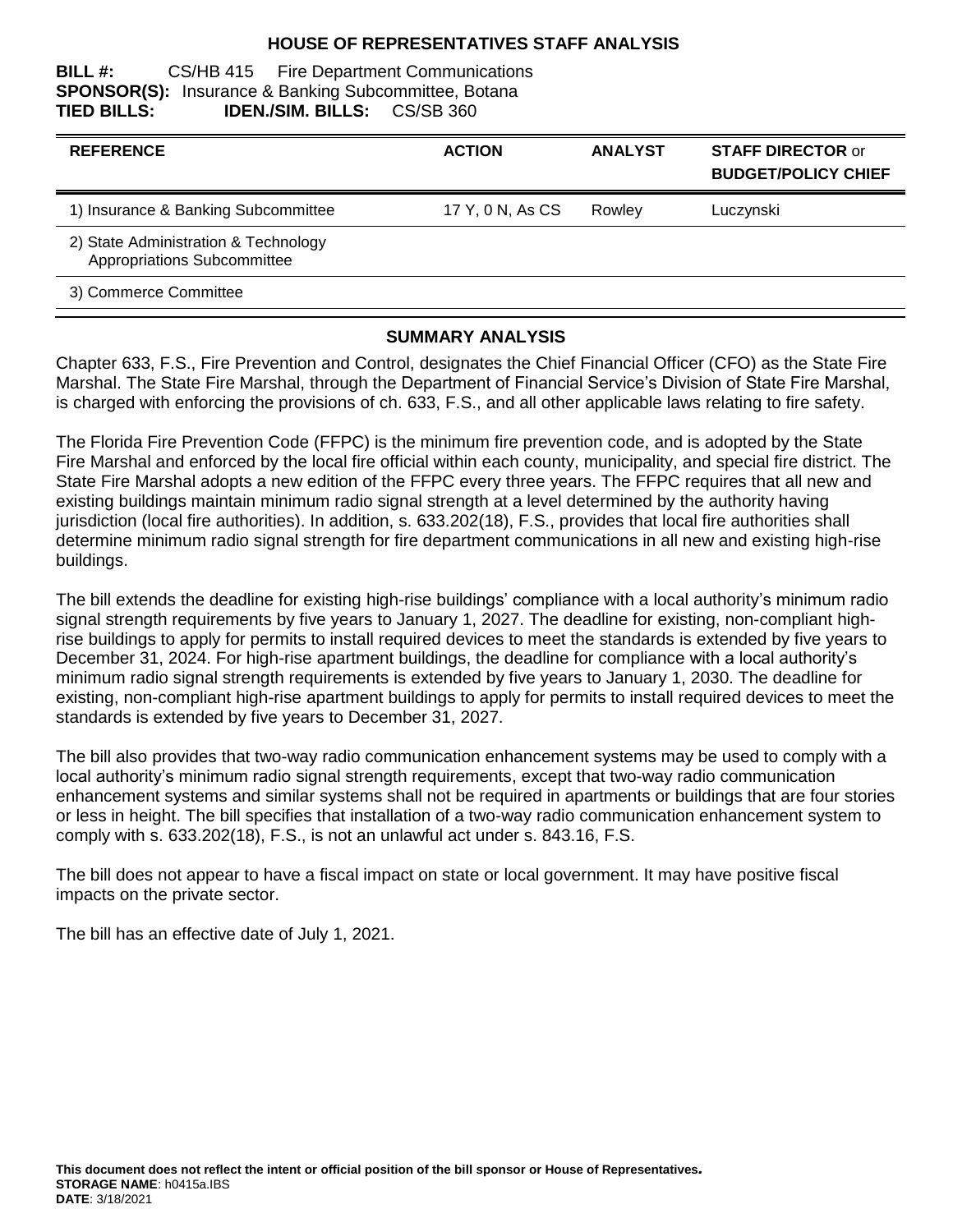#### **HOUSE OF REPRESENTATIVES STAFF ANALYSIS**

#### **BILL #:** CS/HB 415 Fire Department Communications **SPONSOR(S):** Insurance & Banking Subcommittee, Botana **TIED BILLS: IDEN./SIM. BILLS:** CS/SB 360

| <b>REFERENCE</b>                                                    | <b>ACTION</b>    | <b>ANALYST</b> | <b>STAFF DIRECTOR or</b><br><b>BUDGET/POLICY CHIEF</b> |
|---------------------------------------------------------------------|------------------|----------------|--------------------------------------------------------|
| 1) Insurance & Banking Subcommittee                                 | 17 Y, 0 N, As CS | Rowley         | Luczynski                                              |
| 2) State Administration & Technology<br>Appropriations Subcommittee |                  |                |                                                        |
| 3) Commerce Committee                                               |                  |                |                                                        |

#### **SUMMARY ANALYSIS**

Chapter 633, F.S., Fire Prevention and Control, designates the Chief Financial Officer (CFO) as the State Fire Marshal. The State Fire Marshal, through the Department of Financial Service's Division of State Fire Marshal, is charged with enforcing the provisions of ch. 633, F.S., and all other applicable laws relating to fire safety.

The Florida Fire Prevention Code (FFPC) is the minimum fire prevention code, and is adopted by the State Fire Marshal and enforced by the local fire official within each county, municipality, and special fire district. The State Fire Marshal adopts a new edition of the FFPC every three years. The FFPC requires that all new and existing buildings maintain minimum radio signal strength at a level determined by the authority having jurisdiction (local fire authorities). In addition, s. 633.202(18), F.S., provides that local fire authorities shall determine minimum radio signal strength for fire department communications in all new and existing high-rise buildings.

The bill extends the deadline for existing high-rise buildings' compliance with a local authority's minimum radio signal strength requirements by five years to January 1, 2027. The deadline for existing, non-compliant highrise buildings to apply for permits to install required devices to meet the standards is extended by five years to December 31, 2024. For high-rise apartment buildings, the deadline for compliance with a local authority's minimum radio signal strength requirements is extended by five years to January 1, 2030. The deadline for existing, non-compliant high-rise apartment buildings to apply for permits to install required devices to meet the standards is extended by five years to December 31, 2027.

The bill also provides that two-way radio communication enhancement systems may be used to comply with a local authority's minimum radio signal strength requirements, except that two-way radio communication enhancement systems and similar systems shall not be required in apartments or buildings that are four stories or less in height. The bill specifies that installation of a two-way radio communication enhancement system to comply with s. 633.202(18), F.S., is not an unlawful act under s. 843.16, F.S.

The bill does not appear to have a fiscal impact on state or local government. It may have positive fiscal impacts on the private sector.

The bill has an effective date of July 1, 2021.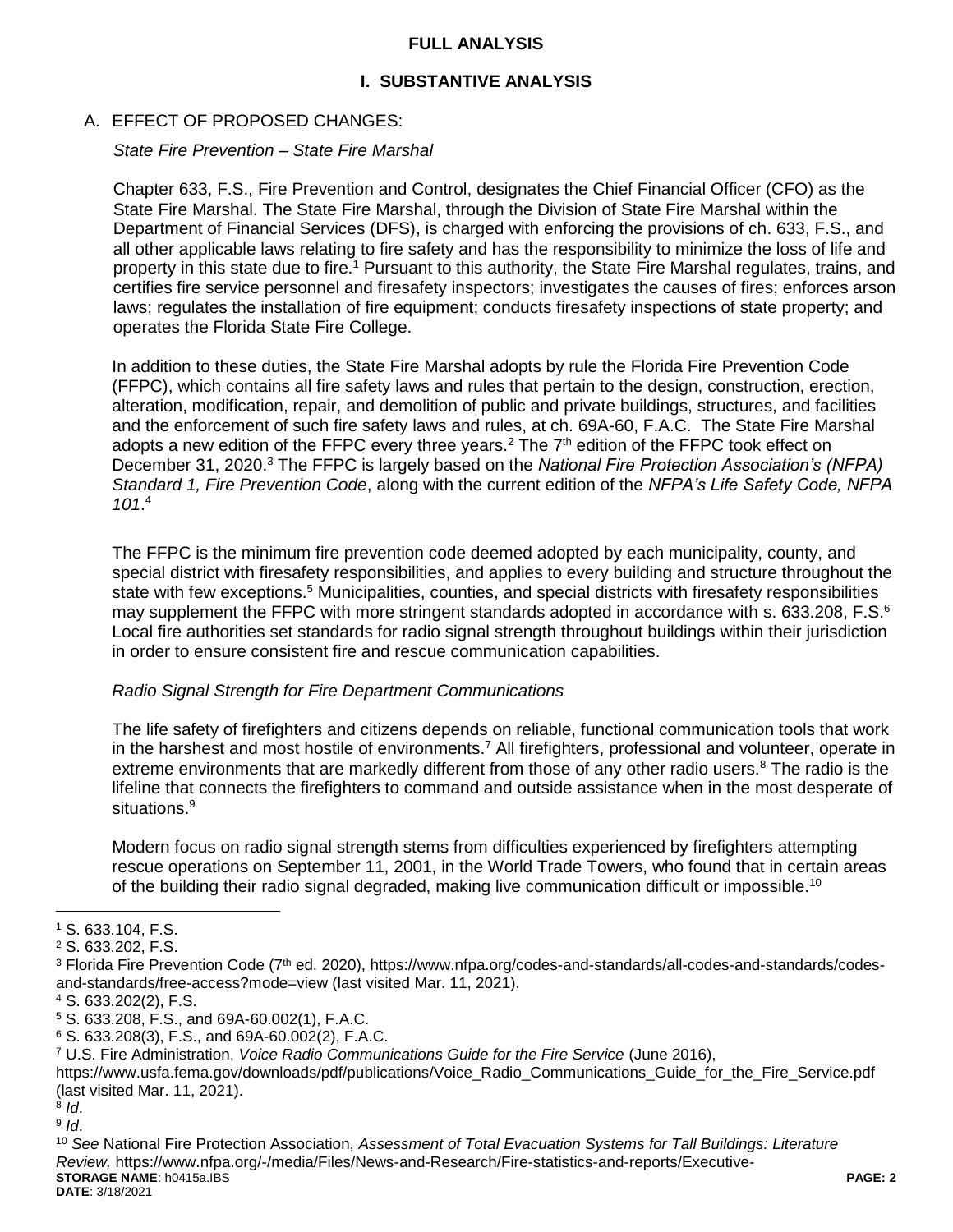#### **FULL ANALYSIS**

## **I. SUBSTANTIVE ANALYSIS**

#### A. EFFECT OF PROPOSED CHANGES:

*State Fire Prevention – State Fire Marshal*

Chapter 633, F.S., Fire Prevention and Control, designates the Chief Financial Officer (CFO) as the State Fire Marshal. The State Fire Marshal, through the Division of State Fire Marshal within the Department of Financial Services (DFS), is charged with enforcing the provisions of ch. 633, F.S., and all other applicable laws relating to fire safety and has the responsibility to minimize the loss of life and property in this state due to fire.<sup>1</sup> Pursuant to this authority, the State Fire Marshal regulates, trains, and certifies fire service personnel and firesafety inspectors; investigates the causes of fires; enforces arson laws; regulates the installation of fire equipment; conducts firesafety inspections of state property; and operates the Florida State Fire College.

In addition to these duties, the State Fire Marshal adopts by rule the Florida Fire Prevention Code (FFPC), which contains all fire safety laws and rules that pertain to the design, construction, erection, alteration, modification, repair, and demolition of public and private buildings, structures, and facilities and the enforcement of such fire safety laws and rules, at ch. 69A-60, F.A.C. The State Fire Marshal adopts a new edition of the FFPC every three years.<sup>2</sup> The  $7<sup>th</sup>$  edition of the FFPC took effect on December 31, 2020.<sup>3</sup> The FFPC is largely based on the *National Fire Protection Association's (NFPA) Standard 1, Fire Prevention Code*, along with the current edition of the *NFPA's Life Safety Code, NFPA 101*. 4

The FFPC is the minimum fire prevention code deemed adopted by each municipality, county, and special district with firesafety responsibilities, and applies to every building and structure throughout the state with few exceptions.<sup>5</sup> Municipalities, counties, and special districts with firesafety responsibilities may supplement the FFPC with more stringent standards adopted in accordance with s. 633.208, F.S.<sup>6</sup> Local fire authorities set standards for radio signal strength throughout buildings within their jurisdiction in order to ensure consistent fire and rescue communication capabilities.

#### *Radio Signal Strength for Fire Department Communications*

The life safety of firefighters and citizens depends on reliable, functional communication tools that work in the harshest and most hostile of environments.<sup>7</sup> All firefighters, professional and volunteer, operate in extreme environments that are markedly different from those of any other radio users.<sup>8</sup> The radio is the lifeline that connects the firefighters to command and outside assistance when in the most desperate of situations.<sup>9</sup>

Modern focus on radio signal strength stems from difficulties experienced by firefighters attempting rescue operations on September 11, 2001, in the World Trade Towers, who found that in certain areas of the building their radio signal degraded, making live communication difficult or impossible.<sup>10</sup>

 $\overline{a}$ 

<sup>1</sup> S. 633.104, F.S.

<sup>2</sup> S. 633.202, F.S.

<sup>&</sup>lt;sup>3</sup> Florida Fire Prevention Code (7<sup>th</sup> ed. 2020), https://www.nfpa.org/codes-and-standards/all-codes-and-standards/codesand-standards/free-access?mode=view (last visited Mar. 11, 2021).

<sup>4</sup> S. 633.202(2), F.S.

<sup>5</sup> S. 633.208, F.S., and 69A-60.002(1), F.A.C.

<sup>6</sup> S. 633.208(3), F.S., and 69A-60.002(2), F.A.C.

<sup>7</sup> U.S. Fire Administration, *Voice Radio Communications Guide for the Fire Service* (June 2016),

https://www.usfa.fema.gov/downloads/pdf/publications/Voice\_Radio\_Communications\_Guide\_for\_the\_Fire\_Service.pdf (last visited Mar. 11, 2021).

<sup>8</sup> *Id*.

<sup>9</sup> *Id*.

**STORAGE NAME**: h0415a.IBS **PAGE: 2 DATE**: 3/18/2021 <sup>10</sup> *See* National Fire Protection Association, *Assessment of Total Evacuation Systems for Tall Buildings: Literature Review,* https://www.nfpa.org/-/media/Files/News-and-Research/Fire-statistics-and-reports/Executive-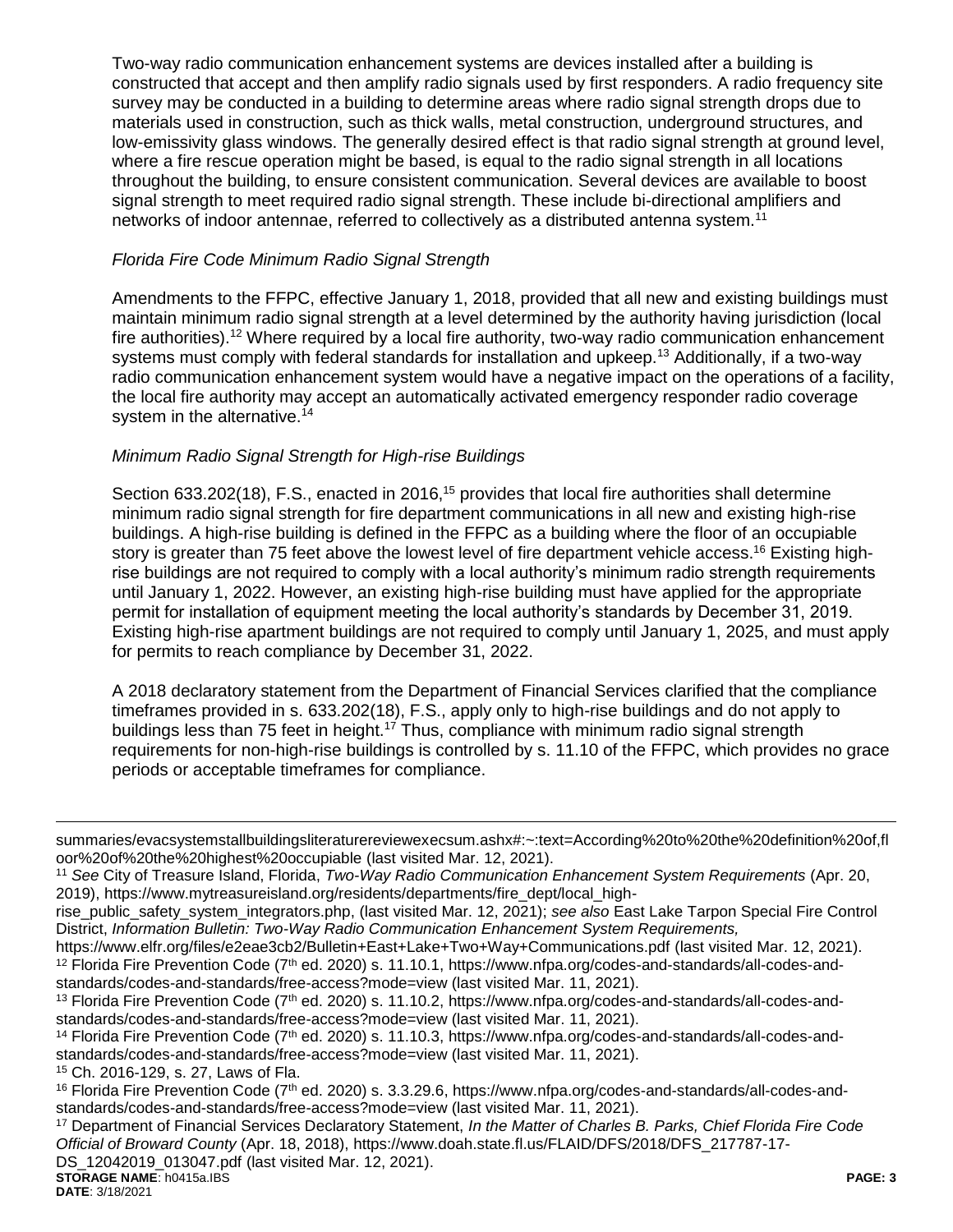Two-way radio communication enhancement systems are devices installed after a building is constructed that accept and then amplify radio signals used by first responders. A radio frequency site survey may be conducted in a building to determine areas where radio signal strength drops due to materials used in construction, such as thick walls, metal construction, underground structures, and low-emissivity glass windows. The generally desired effect is that radio signal strength at ground level, where a fire rescue operation might be based, is equal to the radio signal strength in all locations throughout the building, to ensure consistent communication. Several devices are available to boost signal strength to meet required radio signal strength. These include bi-directional amplifiers and networks of indoor antennae, referred to collectively as a distributed antenna system.<sup>11</sup>

#### *Florida Fire Code Minimum Radio Signal Strength*

Amendments to the FFPC, effective January 1, 2018, provided that all new and existing buildings must maintain minimum radio signal strength at a level determined by the authority having jurisdiction (local fire authorities).<sup>12</sup> Where required by a local fire authority, two-way radio communication enhancement systems must comply with federal standards for installation and upkeep.<sup>13</sup> Additionally, if a two-way radio communication enhancement system would have a negative impact on the operations of a facility, the local fire authority may accept an automatically activated emergency responder radio coverage system in the alternative.<sup>14</sup>

## *Minimum Radio Signal Strength for High-rise Buildings*

Section 633.202(18), F.S., enacted in 2016,<sup>15</sup> provides that local fire authorities shall determine minimum radio signal strength for fire department communications in all new and existing high-rise buildings. A high-rise building is defined in the FFPC as a building where the floor of an occupiable story is greater than 75 feet above the lowest level of fire department vehicle access.<sup>16</sup> Existing highrise buildings are not required to comply with a local authority's minimum radio strength requirements until January 1, 2022. However, an existing high-rise building must have applied for the appropriate permit for installation of equipment meeting the local authority's standards by December 31, 2019. Existing high-rise apartment buildings are not required to comply until January 1, 2025, and must apply for permits to reach compliance by December 31, 2022.

A 2018 declaratory statement from the Department of Financial Services clarified that the compliance timeframes provided in s. 633.202(18), F.S., apply only to high-rise buildings and do not apply to buildings less than 75 feet in height.<sup>17</sup> Thus, compliance with minimum radio signal strength requirements for non-high-rise buildings is controlled by s. 11.10 of the FFPC, which provides no grace periods or acceptable timeframes for compliance.

**STORAGE NAME**: h0415a.IBS **PAGE: 3** <sup>17</sup> Department of Financial Services Declaratory Statement, *In the Matter of Charles B. Parks, Chief Florida Fire Code Official of Broward County* (Apr. 18, 2018), https://www.doah.state.fl.us/FLAID/DFS/2018/DFS\_217787-17- DS\_12042019\_013047.pdf (last visited Mar. 12, 2021).

 $\overline{a}$ 

summaries/evacsystemstallbuildingsliteraturereviewexecsum.ashx#:~:text=According%20to%20the%20definition%20of,fl oor%20of%20the%20highest%20occupiable (last visited Mar. 12, 2021).

<sup>11</sup> *See* City of Treasure Island, Florida, *Two-Way Radio Communication Enhancement System Requirements* (Apr. 20, 2019), https://www.mytreasureisland.org/residents/departments/fire\_dept/local\_high-

rise\_public\_safety\_system\_integrators.php, (last visited Mar. 12, 2021); *see also* East Lake Tarpon Special Fire Control District, *Information Bulletin: Two-Way Radio Communication Enhancement System Requirements,*

https://www.elfr.org/files/e2eae3cb2/Bulletin+East+Lake+Two+Way+Communications.pdf (last visited Mar. 12, 2021).  $12$  Florida Fire Prevention Code (7<sup>th</sup> ed. 2020) s. 11.10.1, https://www.nfpa.org/codes-and-standards/all-codes-andstandards/codes-and-standards/free-access?mode=view (last visited Mar. 11, 2021).

<sup>13</sup> Florida Fire Prevention Code (7<sup>th</sup> ed. 2020) s. 11.10.2, https://www.nfpa.org/codes-and-standards/all-codes-andstandards/codes-and-standards/free-access?mode=view (last visited Mar. 11, 2021).

 $14$  Florida Fire Prevention Code (7<sup>th</sup> ed. 2020) s. 11.10.3, https://www.nfpa.org/codes-and-standards/all-codes-andstandards/codes-and-standards/free-access?mode=view (last visited Mar. 11, 2021).

<sup>15</sup> Ch. 2016-129, s. 27, Laws of Fla.

 $16$  Florida Fire Prevention Code ( $7<sup>th</sup>$  ed. 2020) s. 3.3.29.6, https://www.nfpa.org/codes-and-standards/all-codes-andstandards/codes-and-standards/free-access?mode=view (last visited Mar. 11, 2021).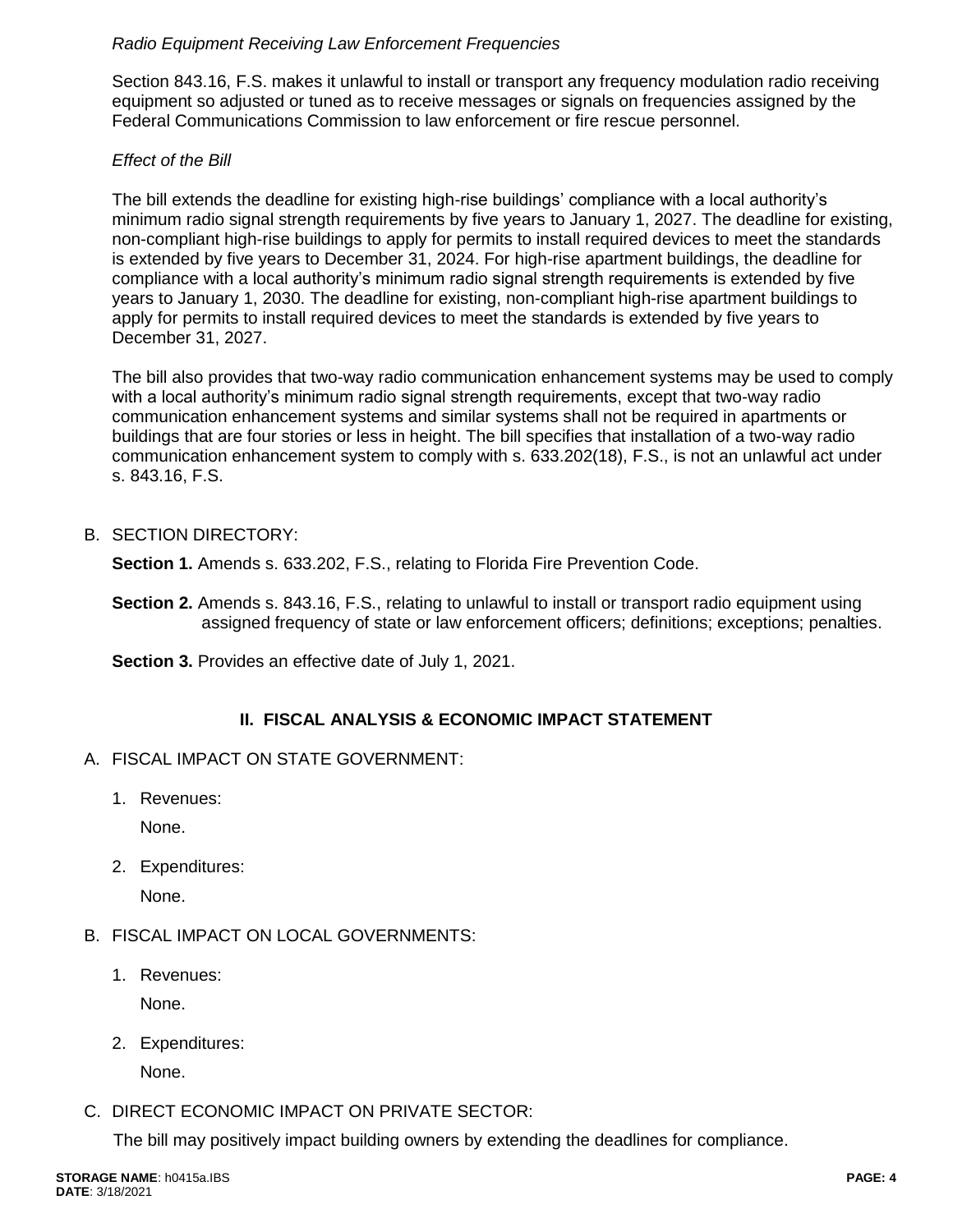## *Radio Equipment Receiving Law Enforcement Frequencies*

Section 843.16, F.S. makes it unlawful to install or transport any frequency modulation radio receiving equipment so adjusted or tuned as to receive messages or signals on frequencies assigned by the Federal Communications Commission to law enforcement or fire rescue personnel.

## *Effect of the Bill*

The bill extends the deadline for existing high-rise buildings' compliance with a local authority's minimum radio signal strength requirements by five years to January 1, 2027. The deadline for existing, non-compliant high-rise buildings to apply for permits to install required devices to meet the standards is extended by five years to December 31, 2024. For high-rise apartment buildings, the deadline for compliance with a local authority's minimum radio signal strength requirements is extended by five years to January 1, 2030. The deadline for existing, non-compliant high-rise apartment buildings to apply for permits to install required devices to meet the standards is extended by five years to December 31, 2027.

The bill also provides that two-way radio communication enhancement systems may be used to comply with a local authority's minimum radio signal strength requirements, except that two-way radio communication enhancement systems and similar systems shall not be required in apartments or buildings that are four stories or less in height. The bill specifies that installation of a two-way radio communication enhancement system to comply with s. 633.202(18), F.S., is not an unlawful act under s. 843.16, F.S.

## B. SECTION DIRECTORY:

**Section 1.** Amends s. 633.202, F.S., relating to Florida Fire Prevention Code.

**Section 2.** Amends s. 843.16, F.S., relating to unlawful to install or transport radio equipment using assigned frequency of state or law enforcement officers; definitions; exceptions; penalties.

**Section 3.** Provides an effective date of July 1, 2021.

# **II. FISCAL ANALYSIS & ECONOMIC IMPACT STATEMENT**

- A. FISCAL IMPACT ON STATE GOVERNMENT:
	- 1. Revenues:

None.

2. Expenditures:

None.

- B. FISCAL IMPACT ON LOCAL GOVERNMENTS:
	- 1. Revenues:

None.

2. Expenditures:

None.

# C. DIRECT ECONOMIC IMPACT ON PRIVATE SECTOR:

The bill may positively impact building owners by extending the deadlines for compliance.